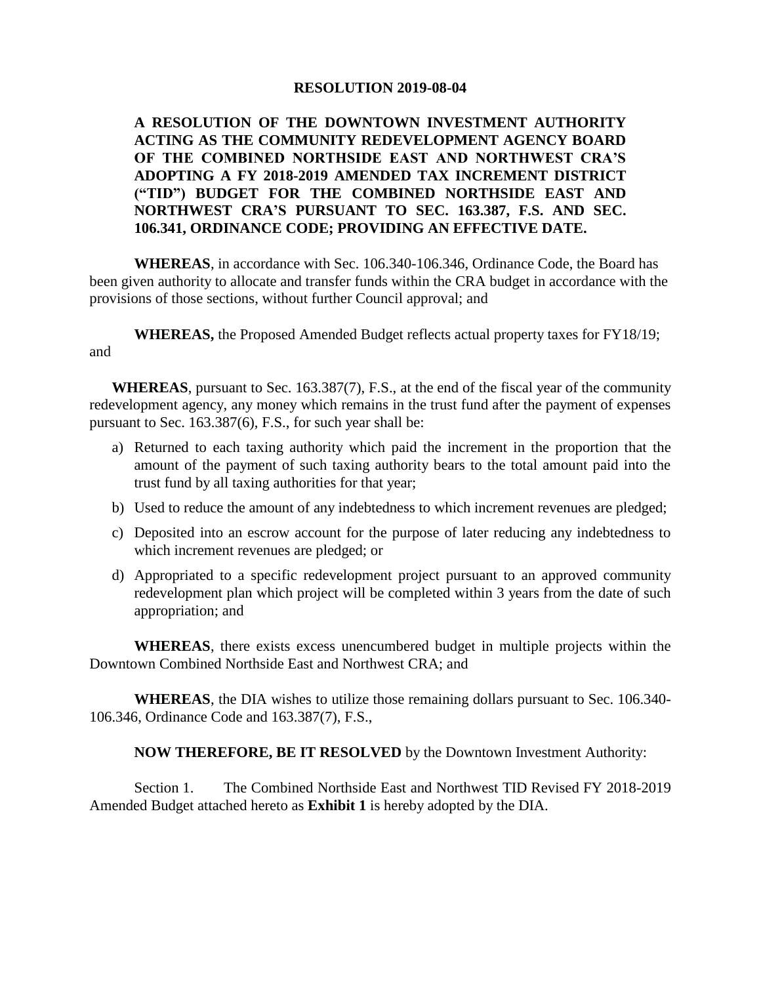#### **RESOLUTION 2019-08-04**

# **A RESOLUTION OF THE DOWNTOWN INVESTMENT AUTHORITY ACTING AS THE COMMUNITY REDEVELOPMENT AGENCY BOARD OF THE COMBINED NORTHSIDE EAST AND NORTHWEST CRA'S ADOPTING A FY 2018-2019 AMENDED TAX INCREMENT DISTRICT ("TID") BUDGET FOR THE COMBINED NORTHSIDE EAST AND NORTHWEST CRA'S PURSUANT TO SEC. 163.387, F.S. AND SEC. 106.341, ORDINANCE CODE; PROVIDING AN EFFECTIVE DATE.**

**WHEREAS**, in accordance with Sec. 106.340-106.346, Ordinance Code, the Board has been given authority to allocate and transfer funds within the CRA budget in accordance with the provisions of those sections, without further Council approval; and

**WHEREAS,** the Proposed Amended Budget reflects actual property taxes for FY18/19; and

**WHEREAS**, pursuant to Sec. 163.387(7), F.S., at the end of the fiscal year of the community redevelopment agency, any money which remains in the trust fund after the payment of expenses pursuant to Sec. 163.387(6), F.S., for such year shall be:

- a) Returned to each taxing authority which paid the increment in the proportion that the amount of the payment of such taxing authority bears to the total amount paid into the trust fund by all taxing authorities for that year;
- b) Used to reduce the amount of any indebtedness to which increment revenues are pledged;
- c) Deposited into an escrow account for the purpose of later reducing any indebtedness to which increment revenues are pledged; or
- d) Appropriated to a specific redevelopment project pursuant to an approved community redevelopment plan which project will be completed within 3 years from the date of such appropriation; and

**WHEREAS**, there exists excess unencumbered budget in multiple projects within the Downtown Combined Northside East and Northwest CRA; and

**WHEREAS**, the DIA wishes to utilize those remaining dollars pursuant to Sec. 106.340- 106.346, Ordinance Code and 163.387(7), F.S.,

#### **NOW THEREFORE, BE IT RESOLVED** by the Downtown Investment Authority:

Section 1. The Combined Northside East and Northwest TID Revised FY 2018-2019 Amended Budget attached hereto as **Exhibit 1** is hereby adopted by the DIA.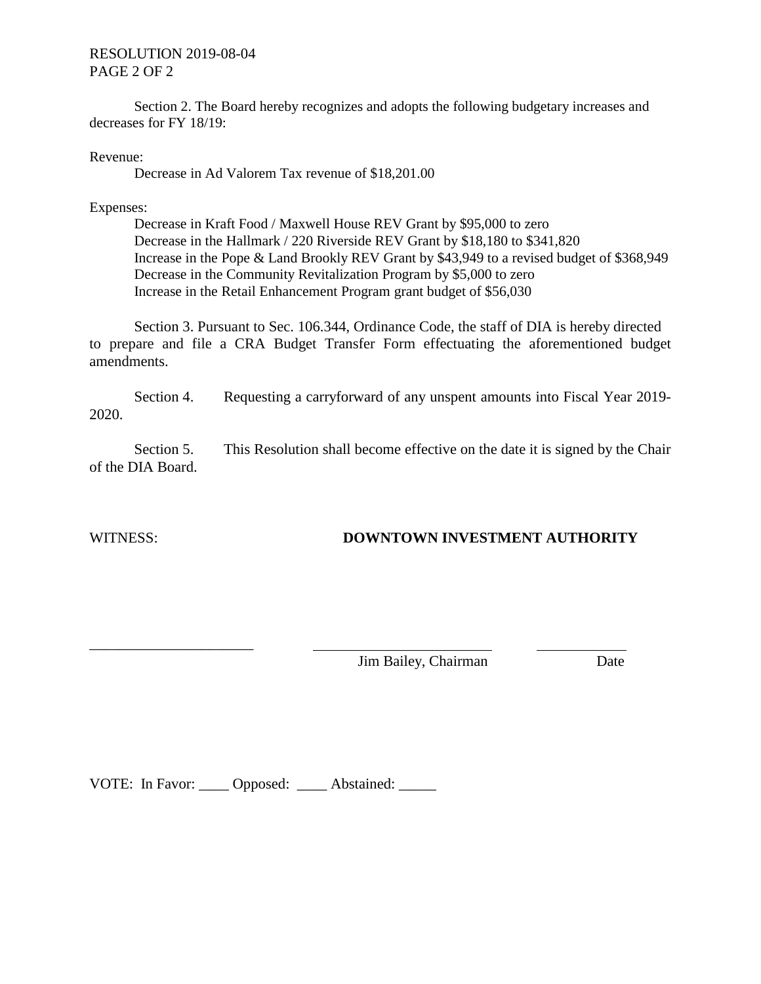### RESOLUTION 2019-08-04 PAGE 2 OF 2

Section 2. The Board hereby recognizes and adopts the following budgetary increases and decreases for FY 18/19:

Revenue:

Decrease in Ad Valorem Tax revenue of \$18,201.00

Expenses:

Decrease in Kraft Food / Maxwell House REV Grant by \$95,000 to zero Decrease in the Hallmark / 220 Riverside REV Grant by \$18,180 to \$341,820 Increase in the Pope & Land Brookly REV Grant by \$43,949 to a revised budget of \$368,949 Decrease in the Community Revitalization Program by \$5,000 to zero Increase in the Retail Enhancement Program grant budget of \$56,030

Section 3. Pursuant to Sec. 106.344, Ordinance Code, the staff of DIA is hereby directed to prepare and file a CRA Budget Transfer Form effectuating the aforementioned budget amendments.

Section 4. Requesting a carryforward of any unspent amounts into Fiscal Year 2019-2020.

Section 5. This Resolution shall become effective on the date it is signed by the Chair of the DIA Board.

\_\_\_\_\_\_\_\_\_\_\_\_\_\_\_\_\_\_\_\_\_\_

# WITNESS: **DOWNTOWN INVESTMENT AUTHORITY**

Jim Bailey, Chairman Date

VOTE: In Favor: \_\_\_\_ Opposed: \_\_\_\_ Abstained: \_\_\_\_\_